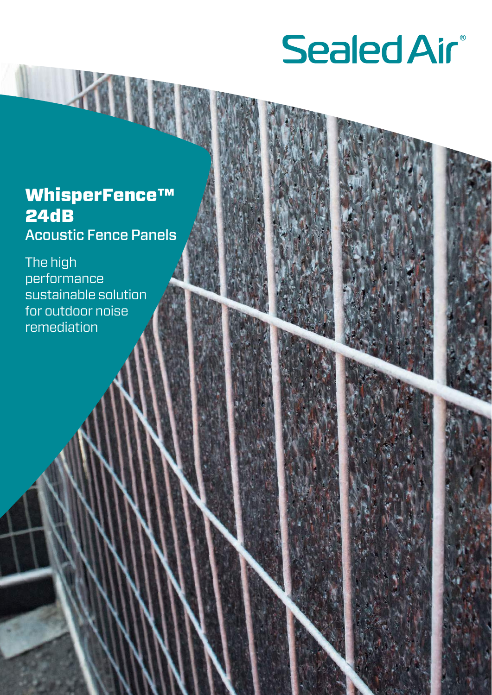### **Sealed Air®**

### WhisperFence™ 24dB Acoustic Fence Panels

The high performance sustainable solution for outdoor noise remediation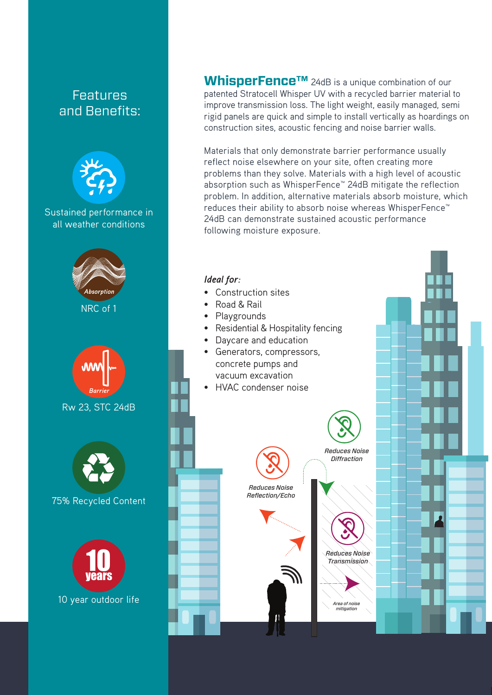

**WhisperFence™** 24dB is a unique combination of our patented Stratocell Whisper UV with a recycled barrier material to improve transmission loss. The light weight, easily managed, semi rigid panels are quick and simple to install vertically as hoardings on construction sites, acoustic fencing and noise barrier walls.

Materials that only demonstrate barrier performance usually reflect noise elsewhere on your site, often creating more problems than they solve. Materials with a high level of acoustic absorption such as WhisperFence™ 24dB mitigate the reflection problem. In addition, alternative materials absorb moisture, which reduces their ability to absorb noise whereas WhisperFence™ 24dB can demonstrate sustained acoustic performance following moisture exposure.

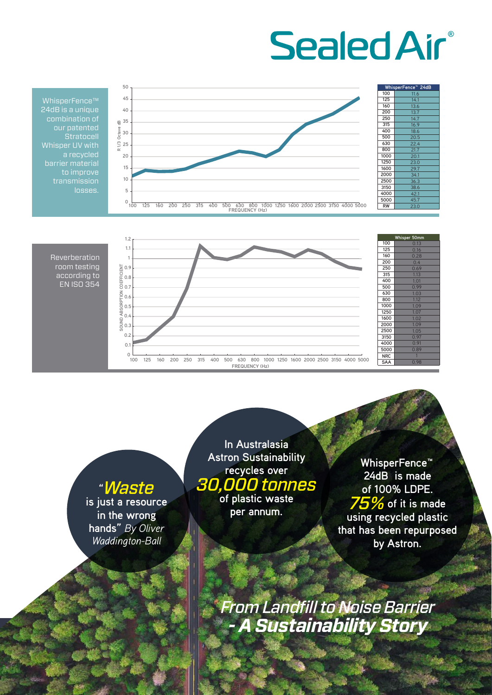## **Sealed Air®**



WhisperFence™ 24dB is a unique combination of our patented **Stratocell** Whisper UV with transmission



**"***Waste* **is just a resource in the wrong hands"** *By Oliver Waddington-Ball*

**In Australasia Astron Sustainability recycles over**  *30,000 tonnes* **of plastic waste** 

**per annum.** 

**WhisperFence™ 24dB is made of 100% LDPE.**  *75%* **of it is made using recycled plastic that has been repurposed by Astron.** 

*From Landfill to Noise Barrier - A Sustainability Story*